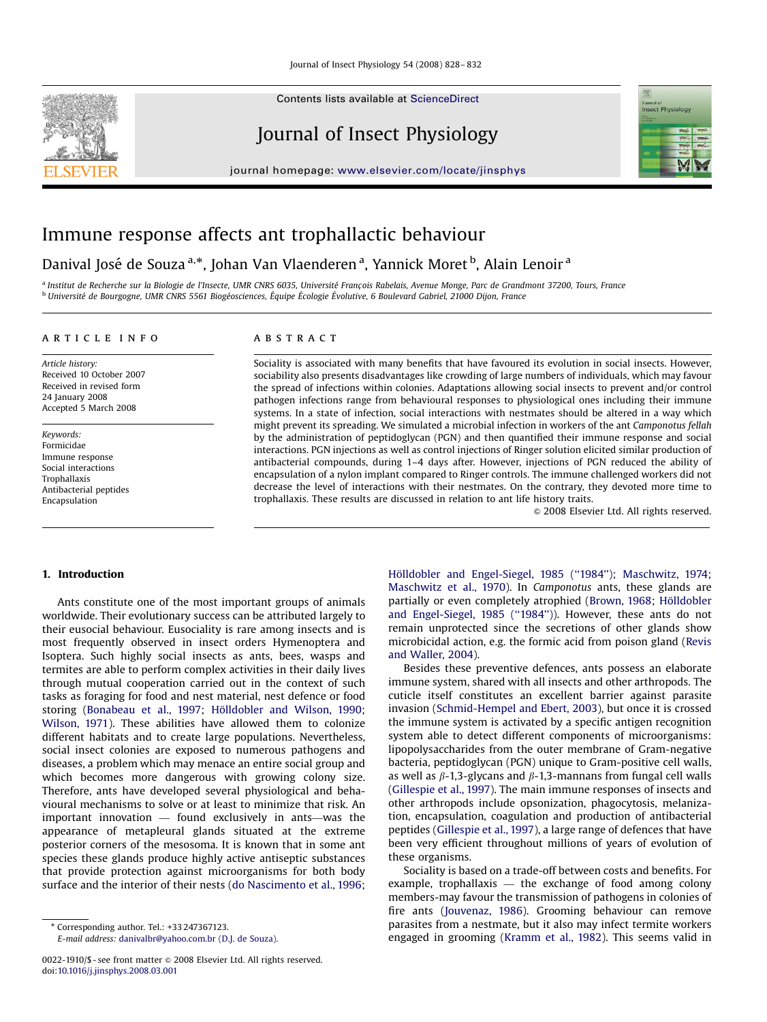Contents lists available at [ScienceDirect](www.sciencedirect.com/science/journal/ip)

# Journal of Insect Physiology

journal homepage: <www.elsevier.com/locate/jinsphys>



## Immune response affects ant trophallactic behaviour

# Danival José de Souza <sup>a,</sup>\*, Johan Van Vlaenderen <sup>a</sup>, Yannick Moret <sup>b</sup>, Alain Lenoir <sup>a</sup>

<sup>a</sup> Institut de Recherche sur la Biologie de l'Insecte, UMR CNRS 6035, Université Francois Rabelais, Avenue Monge, Parc de Grandmont 37200, Tours, France <sup>b</sup> Université de Bourgogne, UMR CNRS 5561 Biogéosciences, Équipe Écologie Évolutive, 6 Boulevard Gabriel, 21000 Dijon, France

### article info

Article history: Received 10 October 2007 Received in revised form 24 January 2008 Accepted 5 March 2008

Keywords: Formicidae Immune response Social interactions Trophallaxis Antibacterial peptides Encapsulation

## **ABSTRACT**

Sociality is associated with many benefits that have favoured its evolution in social insects. However, sociability also presents disadvantages like crowding of large numbers of individuals, which may favour the spread of infections within colonies. Adaptations allowing social insects to prevent and/or control pathogen infections range from behavioural responses to physiological ones including their immune systems. In a state of infection, social interactions with nestmates should be altered in a way which might prevent its spreading. We simulated a microbial infection in workers of the ant Camponotus fellah by the administration of peptidoglycan (PGN) and then quantified their immune response and social interactions. PGN injections as well as control injections of Ringer solution elicited similar production of antibacterial compounds, during 1–4 days after. However, injections of PGN reduced the ability of encapsulation of a nylon implant compared to Ringer controls. The immune challenged workers did not decrease the level of interactions with their nestmates. On the contrary, they devoted more time to trophallaxis. These results are discussed in relation to ant life history traits.

 $\odot$  2008 Elsevier Ltd. All rights reserved.

#### 1. Introduction

Ants constitute one of the most important groups of animals worldwide. Their evolutionary success can be attributed largely to their eusocial behaviour. Eusociality is rare among insects and is most frequently observed in insect orders Hymenoptera and Isoptera. Such highly social insects as ants, bees, wasps and termites are able to perform complex activities in their daily lives through mutual cooperation carried out in the context of such tasks as foraging for food and nest material, nest defence or food storing ([Bonabeau et al., 1997](#page-4-0); Hölldobler and Wilson, 1990; [Wilson, 1971](#page-4-0)). These abilities have allowed them to colonize different habitats and to create large populations. Nevertheless, social insect colonies are exposed to numerous pathogens and diseases, a problem which may menace an entire social group and which becomes more dangerous with growing colony size. Therefore, ants have developed several physiological and behavioural mechanisms to solve or at least to minimize that risk. An important innovation — found exclusively in ants—was the appearance of metapleural glands situated at the extreme posterior corners of the mesosoma. It is known that in some ant species these glands produce highly active antiseptic substances that provide protection against microorganisms for both body surface and the interior of their nests [\(do Nascimento et al., 1996;](#page-4-0)

E-mail address: [danivalbr@yahoo.com.br \(D.J. de Souza\).](mailto:danivalbr@yahoo.com.br)

Hölldobler and Engel-Siegel, 1985 ("1984"); [Maschwitz, 1974;](#page-4-0) [Maschwitz et al., 1970\)](#page-4-0). In Camponotus ants, these glands are partially or even completely atrophied ([Brown, 1968](#page-4-0); Hölldobler and Engel-Siegel, 1985 ("1984")). However, these ants do not remain unprotected since the secretions of other glands show microbicidal action, e.g. the formic acid from poison gland ([Revis](#page-4-0) [and Waller, 2004\)](#page-4-0).

Besides these preventive defences, ants possess an elaborate immune system, shared with all insects and other arthropods. The cuticle itself constitutes an excellent barrier against parasite invasion [\(Schmid-Hempel and Ebert, 2003](#page-4-0)), but once it is crossed the immune system is activated by a specific antigen recognition system able to detect different components of microorganisms: lipopolysaccharides from the outer membrane of Gram-negative bacteria, peptidoglycan (PGN) unique to Gram-positive cell walls, as well as  $\beta$ -1,3-glycans and  $\beta$ -1,3-mannans from fungal cell walls ([Gillespie et al., 1997\)](#page-4-0). The main immune responses of insects and other arthropods include opsonization, phagocytosis, melanization, encapsulation, coagulation and production of antibacterial peptides [\(Gillespie et al., 1997\)](#page-4-0), a large range of defences that have been very efficient throughout millions of years of evolution of these organisms.

Sociality is based on a trade-off between costs and benefits. For example, trophallaxis — the exchange of food among colony members-may favour the transmission of pathogens in colonies of fire ants ([Jouvenaz, 1986\)](#page-4-0). Grooming behaviour can remove parasites from a nestmate, but it also may infect termite workers engaged in grooming ([Kramm et al., 1982](#page-4-0)). This seems valid in

<sup>-</sup> Corresponding author. Tel.: +33 247367123.

<sup>0022-1910/\$ -</sup> see front matter  $\circ$  2008 Elsevier Ltd. All rights reserved. doi:[10.1016/j.jinsphys.2008.03.001](dx.doi.org/10.1016/j.jinsphys.2008.03.001)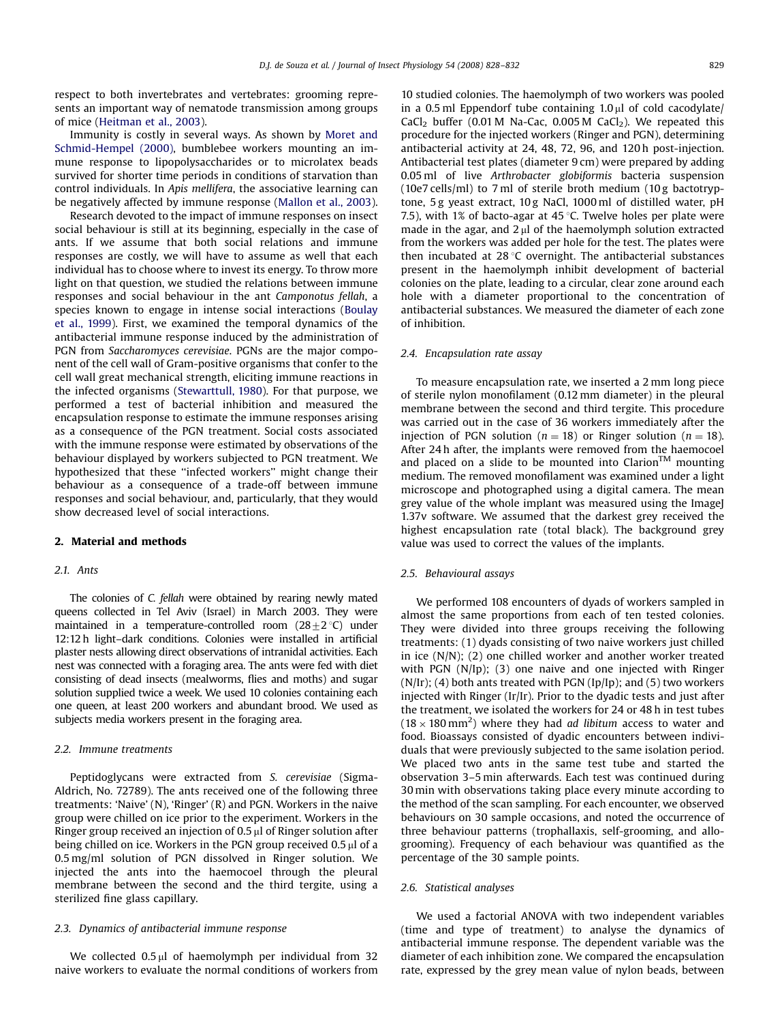respect to both invertebrates and vertebrates: grooming represents an important way of nematode transmission among groups of mice [\(Heitman et al., 2003\)](#page-4-0).

Immunity is costly in several ways. As shown by [Moret and](#page-4-0) [Schmid-Hempel \(2000\),](#page-4-0) bumblebee workers mounting an immune response to lipopolysaccharides or to microlatex beads survived for shorter time periods in conditions of starvation than control individuals. In Apis mellifera, the associative learning can be negatively affected by immune response [\(Mallon et al., 2003\)](#page-4-0).

Research devoted to the impact of immune responses on insect social behaviour is still at its beginning, especially in the case of ants. If we assume that both social relations and immune responses are costly, we will have to assume as well that each individual has to choose where to invest its energy. To throw more light on that question, we studied the relations between immune responses and social behaviour in the ant Camponotus fellah, a species known to engage in intense social interactions ([Boulay](#page-4-0) [et al., 1999\)](#page-4-0). First, we examined the temporal dynamics of the antibacterial immune response induced by the administration of PGN from Saccharomyces cerevisiae. PGNs are the major component of the cell wall of Gram-positive organisms that confer to the cell wall great mechanical strength, eliciting immune reactions in the infected organisms [\(Stewarttull, 1980\)](#page-4-0). For that purpose, we performed a test of bacterial inhibition and measured the encapsulation response to estimate the immune responses arising as a consequence of the PGN treatment. Social costs associated with the immune response were estimated by observations of the behaviour displayed by workers subjected to PGN treatment. We hypothesized that these ''infected workers'' might change their behaviour as a consequence of a trade-off between immune responses and social behaviour, and, particularly, that they would show decreased level of social interactions.

## 2. Material and methods

#### 2.1. Ants

The colonies of C. fellah were obtained by rearing newly mated queens collected in Tel Aviv (Israel) in March 2003. They were maintained in a temperature-controlled room  $(28\pm2\degree C)$  under 12:12 h light–dark conditions. Colonies were installed in artificial plaster nests allowing direct observations of intranidal activities. Each nest was connected with a foraging area. The ants were fed with diet consisting of dead insects (mealworms, flies and moths) and sugar solution supplied twice a week. We used 10 colonies containing each one queen, at least 200 workers and abundant brood. We used as subjects media workers present in the foraging area.

## 2.2. Immune treatments

Peptidoglycans were extracted from S. cerevisiae (Sigma-Aldrich, No. 72789). The ants received one of the following three treatments: 'Naive' (N), 'Ringer' (R) and PGN. Workers in the naive group were chilled on ice prior to the experiment. Workers in the Ringer group received an injection of  $0.5 \mu$ l of Ringer solution after being chilled on ice. Workers in the PGN group received  $0.5 \mu$ l of a 0.5 mg/ml solution of PGN dissolved in Ringer solution. We injected the ants into the haemocoel through the pleural membrane between the second and the third tergite, using a sterilized fine glass capillary.

#### 2.3. Dynamics of antibacterial immune response

We collected  $0.5 \mu l$  of haemolymph per individual from 32 naive workers to evaluate the normal conditions of workers from 10 studied colonies. The haemolymph of two workers was pooled in a 0.5 ml Eppendorf tube containing  $1.0 \mu$ l of cold cacodylate/ CaCl<sub>2</sub> buffer (0.01 M Na-Cac, 0.005 M CaCl<sub>2</sub>). We repeated this procedure for the injected workers (Ringer and PGN), determining antibacterial activity at 24, 48, 72, 96, and 120 h post-injection. Antibacterial test plates (diameter 9 cm) were prepared by adding 0.05 ml of live Arthrobacter globiformis bacteria suspension (10e7 cells/ml) to 7 ml of sterile broth medium (10 g bactotryptone, 5 g yeast extract, 10 g NaCl, 1000 ml of distilled water, pH 7.5), with 1% of bacto-agar at 45  $\degree$ C. Twelve holes per plate were made in the agar, and  $2 \mu$  of the haemolymph solution extracted from the workers was added per hole for the test. The plates were then incubated at  $28 \degree C$  overnight. The antibacterial substances present in the haemolymph inhibit development of bacterial colonies on the plate, leading to a circular, clear zone around each hole with a diameter proportional to the concentration of antibacterial substances. We measured the diameter of each zone of inhibition.

#### 2.4. Encapsulation rate assay

To measure encapsulation rate, we inserted a 2 mm long piece of sterile nylon monofilament (0.12 mm diameter) in the pleural membrane between the second and third tergite. This procedure was carried out in the case of 36 workers immediately after the injection of PGN solution ( $n = 18$ ) or Ringer solution ( $n = 18$ ). After 24 h after, the implants were removed from the haemocoel and placed on a slide to be mounted into Clarion<sup>TM</sup> mounting medium. The removed monofilament was examined under a light microscope and photographed using a digital camera. The mean grey value of the whole implant was measured using the ImageJ 1.37v software. We assumed that the darkest grey received the highest encapsulation rate (total black). The background grey value was used to correct the values of the implants.

## 2.5. Behavioural assays

We performed 108 encounters of dyads of workers sampled in almost the same proportions from each of ten tested colonies. They were divided into three groups receiving the following treatments: (1) dyads consisting of two naive workers just chilled in ice (N/N); (2) one chilled worker and another worker treated with PGN (N/Ip); (3) one naive and one injected with Ringer  $(N/Ir)$ ; (4) both ants treated with PGN (Ip/Ip); and (5) two workers injected with Ringer (Ir/Ir). Prior to the dyadic tests and just after the treatment, we isolated the workers for 24 or 48 h in test tubes  $(18 \times 180 \text{ mm}^2)$  where they had *ad libitum* access to water and food. Bioassays consisted of dyadic encounters between individuals that were previously subjected to the same isolation period. We placed two ants in the same test tube and started the observation 3–5 min afterwards. Each test was continued during 30 min with observations taking place every minute according to the method of the scan sampling. For each encounter, we observed behaviours on 30 sample occasions, and noted the occurrence of three behaviour patterns (trophallaxis, self-grooming, and allogrooming). Frequency of each behaviour was quantified as the percentage of the 30 sample points.

#### 2.6. Statistical analyses

We used a factorial ANOVA with two independent variables (time and type of treatment) to analyse the dynamics of antibacterial immune response. The dependent variable was the diameter of each inhibition zone. We compared the encapsulation rate, expressed by the grey mean value of nylon beads, between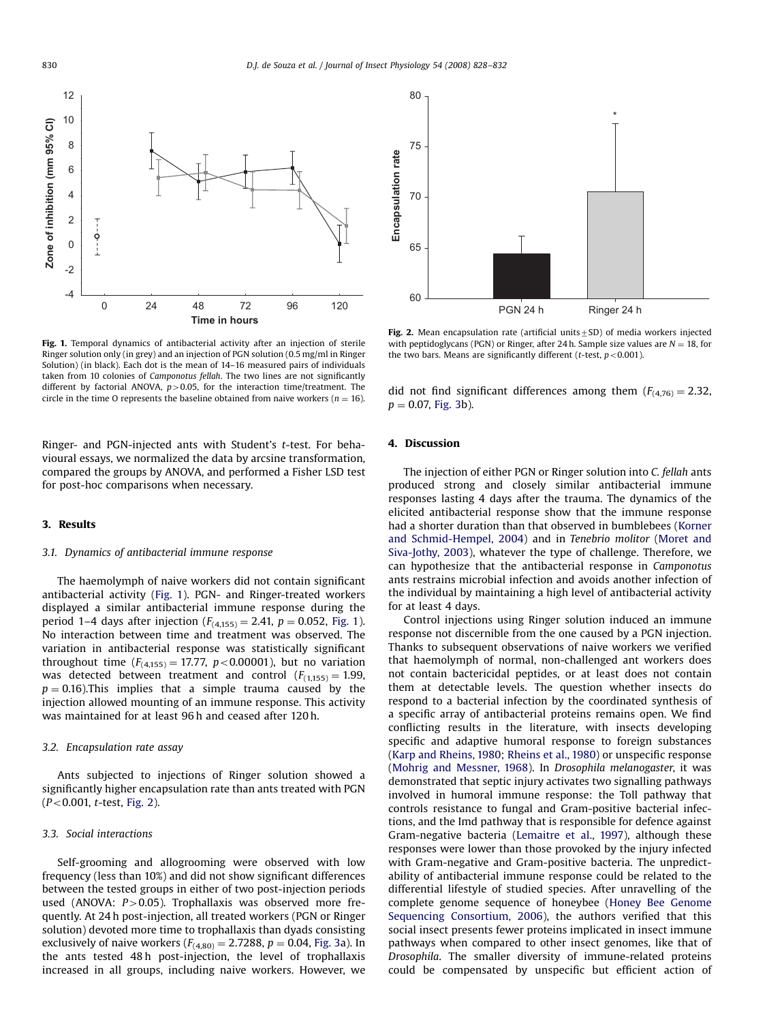

Fig. 1. Temporal dynamics of antibacterial activity after an injection of sterile Ringer solution only (in grey) and an injection of PGN solution (0.5 mg/ml in Ringer Solution) (in black). Each dot is the mean of 14–16 measured pairs of individuals taken from 10 colonies of Camponotus fellah. The two lines are not significantly different by factorial ANOVA,  $p > 0.05$ , for the interaction time/treatment. The circle in the time O represents the baseline obtained from naive workers ( $n = 16$ ).

Ringer- and PGN-injected ants with Student's t-test. For behavioural essays, we normalized the data by arcsine transformation, compared the groups by ANOVA, and performed a Fisher LSD test for post-hoc comparisons when necessary.

### 3. Results

#### 3.1. Dynamics of antibacterial immune response

The haemolymph of naive workers did not contain significant antibacterial activity (Fig. 1). PGN- and Ringer-treated workers displayed a similar antibacterial immune response during the period 1–4 days after injection  $(F_{(4,155)} = 2.41, p = 0.052,$  Fig. 1). No interaction between time and treatment was observed. The variation in antibacterial response was statistically significant throughout time  $(F_{(4,155)} = 17.77, p < 0.00001)$ , but no variation was detected between treatment and control  $(F<sub>(1,155)</sub> = 1.99,$  $p = 0.16$ ).This implies that a simple trauma caused by the injection allowed mounting of an immune response. This activity was maintained for at least 96 h and ceased after 120 h.

#### 3.2. Encapsulation rate assay

Ants subjected to injections of Ringer solution showed a significantly higher encapsulation rate than ants treated with PGN  $(P<0.001, t-test, Fig. 2)$ .

#### 3.3. Social interactions

Self-grooming and allogrooming were observed with low frequency (less than 10%) and did not show significant differences between the tested groups in either of two post-injection periods used (ANOVA:  $P > 0.05$ ). Trophallaxis was observed more frequently. At 24 h post-injection, all treated workers (PGN or Ringer solution) devoted more time to trophallaxis than dyads consisting exclusively of naive workers  $(F_{(4,80)} = 2.7288, p = 0.04,$  [Fig. 3](#page-3-0)a). In the ants tested 48 h post-injection, the level of trophallaxis increased in all groups, including naive workers. However, we



Fig. 2. Mean encapsulation rate (artificial units $\pm$ SD) of media workers injected with peptidoglycans (PGN) or Ringer, after 24 h. Sample size values are  $N = 18$ , for the two bars. Means are significantly different (t-test,  $p < 0.001$ ).

did not find significant differences among them  $(F_{(4,76)} = 2.32,$  $p = 0.07$ , [Fig. 3](#page-3-0)b).

## 4. Discussion

The injection of either PGN or Ringer solution into C. fellah ants produced strong and closely similar antibacterial immune responses lasting 4 days after the trauma. The dynamics of the elicited antibacterial response show that the immune response had a shorter duration than that observed in bumblebees ([Korner](#page-4-0) [and Schmid-Hempel, 2004\)](#page-4-0) and in Tenebrio molitor [\(Moret and](#page-4-0) [Siva-Jothy, 2003](#page-4-0)), whatever the type of challenge. Therefore, we can hypothesize that the antibacterial response in Camponotus ants restrains microbial infection and avoids another infection of the individual by maintaining a high level of antibacterial activity for at least 4 days.

Control injections using Ringer solution induced an immune response not discernible from the one caused by a PGN injection. Thanks to subsequent observations of naive workers we verified that haemolymph of normal, non-challenged ant workers does not contain bactericidal peptides, or at least does not contain them at detectable levels. The question whether insects do respond to a bacterial infection by the coordinated synthesis of a specific array of antibacterial proteins remains open. We find conflicting results in the literature, with insects developing specific and adaptive humoral response to foreign substances ([Karp and Rheins, 1980](#page-4-0); [Rheins et al., 1980\)](#page-4-0) or unspecific response ([Mohrig and Messner, 1968](#page-4-0)). In Drosophila melanogaster, it was demonstrated that septic injury activates two signalling pathways involved in humoral immune response: the Toll pathway that controls resistance to fungal and Gram-positive bacterial infections, and the Imd pathway that is responsible for defence against Gram-negative bacteria [\(Lemaitre et al., 1997](#page-4-0)), although these responses were lower than those provoked by the injury infected with Gram-negative and Gram-positive bacteria. The unpredictability of antibacterial immune response could be related to the differential lifestyle of studied species. After unravelling of the complete genome sequence of honeybee [\(Honey Bee Genome](#page-4-0) [Sequencing Consortium, 2006\)](#page-4-0), the authors verified that this social insect presents fewer proteins implicated in insect immune pathways when compared to other insect genomes, like that of Drosophila. The smaller diversity of immune-related proteins could be compensated by unspecific but efficient action of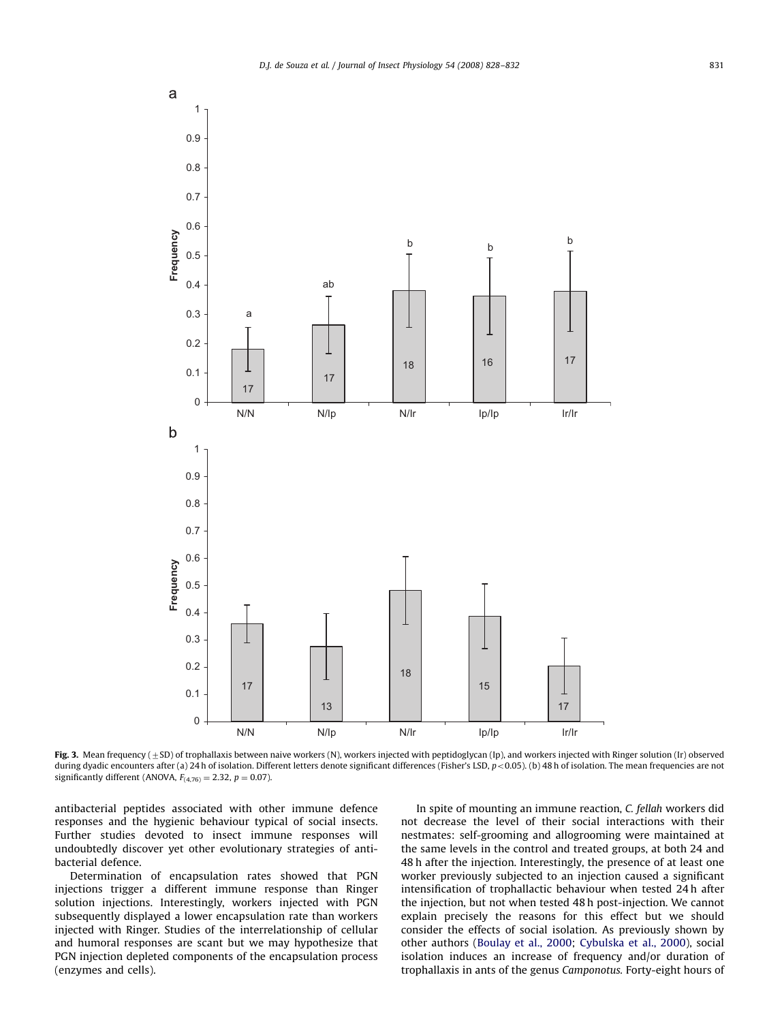<span id="page-3-0"></span>

Fig. 3. Mean frequency ( $\pm$ SD) of trophallaxis between naive workers (N), workers injected with peptidoglycan (Ip), and workers injected with Ringer solution (Ir) observed during dyadic encounters after (a) 24 h of isolation. Different letters denote significant differences (Fisher's LSD, p < 0.05). (b) 48 h of isolation. The mean frequencies are not significantly different (ANOVA,  $F_{(4,76)} = 2.32$ ,  $p = 0.07$ ).

antibacterial peptides associated with other immune defence responses and the hygienic behaviour typical of social insects. Further studies devoted to insect immune responses will undoubtedly discover yet other evolutionary strategies of antibacterial defence.

Determination of encapsulation rates showed that PGN injections trigger a different immune response than Ringer solution injections. Interestingly, workers injected with PGN subsequently displayed a lower encapsulation rate than workers injected with Ringer. Studies of the interrelationship of cellular and humoral responses are scant but we may hypothesize that PGN injection depleted components of the encapsulation process (enzymes and cells).

In spite of mounting an immune reaction, C. fellah workers did not decrease the level of their social interactions with their nestmates: self-grooming and allogrooming were maintained at the same levels in the control and treated groups, at both 24 and 48 h after the injection. Interestingly, the presence of at least one worker previously subjected to an injection caused a significant intensification of trophallactic behaviour when tested 24 h after the injection, but not when tested 48 h post-injection. We cannot explain precisely the reasons for this effect but we should consider the effects of social isolation. As previously shown by other authors ([Boulay et al., 2000](#page-4-0); [Cybulska et al., 2000\)](#page-4-0), social isolation induces an increase of frequency and/or duration of trophallaxis in ants of the genus Camponotus. Forty-eight hours of